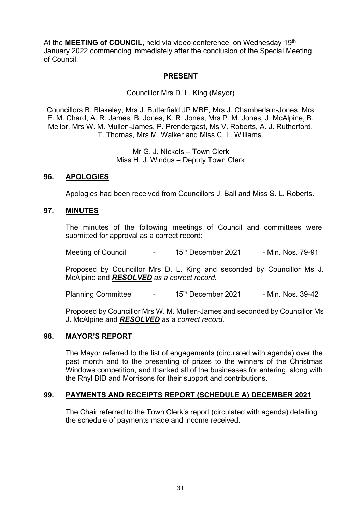At the **MEETING of COUNCIL**, held via video conference, on Wednesday 19<sup>th</sup> January 2022 commencing immediately after the conclusion of the Special Meeting of Council.

# **PRESENT**

Councillor Mrs D. L. King (Mayor)

Councillors B. Blakeley, Mrs J. Butterfield JP MBE, Mrs J. Chamberlain-Jones, Mrs E. M. Chard, A. R. James, B. Jones, K. R. Jones, Mrs P. M. Jones, J. McAlpine, B. Mellor, Mrs W. M. Mullen-James, P. Prendergast, Ms V. Roberts, A. J. Rutherford, T. Thomas, Mrs M. Walker and Miss C. L. Williams.

> Mr G. J. Nickels – Town Clerk Miss H. J. Windus – Deputy Town Clerk

#### **96. APOLOGIES**

Apologies had been received from Councillors J. Ball and Miss S. L. Roberts.

#### **97. MINUTES**

The minutes of the following meetings of Council and committees were submitted for approval as a correct record:

Meeting of Council **-** 15<sup>th</sup> December 2021 - Min. Nos. 79-91

Proposed by Councillor Mrs D. L. King and seconded by Councillor Ms J. McAlpine and *RESOLVED as a correct record.*

Planning Committee - 15<sup>th</sup> December 2021 - Min. Nos. 39-42

Proposed by Councillor Mrs W. M. Mullen-James and seconded by Councillor Ms J. McAlpine and *RESOLVED as a correct record.*

#### **98. MAYOR'S REPORT**

The Mayor referred to the list of engagements (circulated with agenda) over the past month and to the presenting of prizes to the winners of the Christmas Windows competition, and thanked all of the businesses for entering, along with the Rhyl BID and Morrisons for their support and contributions.

#### **99. PAYMENTS AND RECEIPTS REPORT (SCHEDULE A) DECEMBER 2021**

The Chair referred to the Town Clerk's report (circulated with agenda) detailing the schedule of payments made and income received.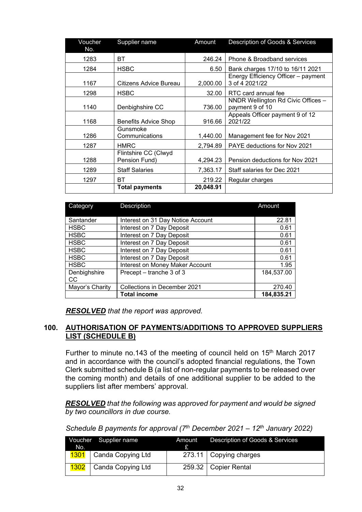| Voucher | Supplier name                         | Amount    | Description of Goods & Services                       |
|---------|---------------------------------------|-----------|-------------------------------------------------------|
| No.     |                                       |           |                                                       |
| 1283    | BТ                                    | 246.24    | Phone & Broadband services                            |
| 1284    | <b>HSBC</b>                           | 6.50      | Bank charges 17/10 to 16/11 2021                      |
| 1167    | Citizens Advice Bureau                | 2,000.00  | Energy Efficiency Officer - payment<br>3 of 4 2021/22 |
| 1298    | <b>HSBC</b>                           | 32.00     | RTC card annual fee                                   |
| 1140    | Denbighshire CC                       | 736.00    | NNDR Wellington Rd Civic Offices -<br>payment 9 of 10 |
| 1168    | <b>Benefits Advice Shop</b>           | 916.66    | Appeals Officer payment 9 of 12<br>2021/22            |
| 1286    | Gunsmoke<br>Communications            | 1,440.00  | Management fee for Nov 2021                           |
| 1287    | <b>HMRC</b>                           | 2,794.89  | PAYE deductions for Nov 2021                          |
| 1288    | Flintshire CC (Clwyd<br>Pension Fund) | 4,294.23  | Pension deductions for Nov 2021                       |
| 1289    | <b>Staff Salaries</b>                 | 7,363.17  | Staff salaries for Dec 2021                           |
| 1297    | BТ                                    | 219.22    | Regular charges                                       |
|         | <b>Total payments</b>                 | 20,048.91 |                                                       |

| Category                                        | <b>Description</b>                | Amount     |
|-------------------------------------------------|-----------------------------------|------------|
| Santander                                       | Interest on 31 Day Notice Account | 22.81      |
| <b>HSBC</b>                                     | Interest on 7 Day Deposit         | 0.61       |
| <b>HSBC</b>                                     | Interest on 7 Day Deposit         | 0.61       |
| <b>HSBC</b>                                     | Interest on 7 Day Deposit         | 0.61       |
| <b>HSBC</b>                                     | Interest on 7 Day Deposit         | 0.61       |
| <b>HSBC</b>                                     | Interest on 7 Day Deposit         | 0.61       |
| <b>HSBC</b>                                     | Interest on Money Maker Account   | 1.95       |
| Denbighshire<br>CC                              | Precept – tranche 3 of 3          | 184,537.00 |
| Mayor's Charity<br>Collections in December 2021 |                                   | 270.40     |
|                                                 | <b>Total income</b>               | 184,835.21 |

*RESOLVED that the report was approved.*

# **100. AUTHORISATION OF PAYMENTS/ADDITIONS TO APPROVED SUPPLIERS LIST (SCHEDULE B)**

Further to minute no.143 of the meeting of council held on 15<sup>th</sup> March 2017 and in accordance with the council's adopted financial regulations, the Town Clerk submitted schedule B (a list of non-regular payments to be released over the coming month) and details of one additional supplier to be added to the suppliers list after members' approval.

*RESOLVED that the following was approved for payment and would be signed by two councillors in due course.*

*Schedule B payments for approval (7th December 2021 – 12th January 2022)*

| No. | Voucher Supplier name           | Amount | Description of Goods & Services |
|-----|---------------------------------|--------|---------------------------------|
|     | <b>1301</b>   Canda Copying Ltd |        | 273.11   Copying charges        |
|     | 1302   Canda Copying Ltd        |        | 259.32   Copier Rental          |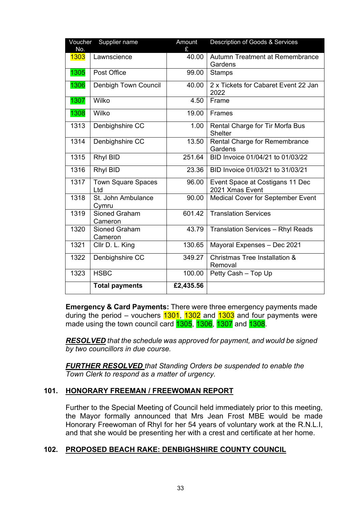| Voucher<br>Supplier name<br>No. |                                  | Amount<br>£ | Description of Goods & Services                    |
|---------------------------------|----------------------------------|-------------|----------------------------------------------------|
| 1303                            | Lawnscience                      | 40.00       | Autumn Treatment at Remembrance<br>Gardens         |
| 1305                            | Post Office                      | 99.00       | <b>Stamps</b>                                      |
| 1306                            | Denbigh Town Council             | 40.00       | 2 x Tickets for Cabaret Event 22 Jan<br>2022       |
| 1307                            | Wilko                            | 4.50        | Frame                                              |
| 1308                            | Wilko                            | 19.00       | <b>Frames</b>                                      |
| 1313                            | Denbighshire CC                  | 1.00        | Rental Charge for Tir Morfa Bus<br><b>Shelter</b>  |
| 1314                            | Denbighshire CC                  | 13.50       | Rental Charge for Remembrance<br>Gardens           |
| 1315                            | <b>Rhyl BID</b>                  | 251.64      | BID Invoice 01/04/21 to 01/03/22                   |
| 1316                            | Rhyl BID                         | 23.36       | BID Invoice 01/03/21 to 31/03/21                   |
| 1317                            | <b>Town Square Spaces</b><br>Ltd | 96.00       | Event Space at Costigans 11 Dec<br>2021 Xmas Event |
| 1318                            | St. John Ambulance<br>Cymru      | 90.00       | <b>Medical Cover for September Event</b>           |
| 1319                            | <b>Sioned Graham</b><br>Cameron  | 601.42      | <b>Translation Services</b>                        |
| 1320                            | Sioned Graham<br>Cameron         | 43.79       | <b>Translation Services - Rhyl Reads</b>           |
| 1321                            | Cllr D. L. King                  | 130.65      | Mayoral Expenses - Dec 2021                        |
| 1322                            | Denbighshire CC                  | 349.27      | Christmas Tree Installation &<br>Removal           |
| 1323                            | <b>HSBC</b>                      | 100.00      | Petty Cash - Top Up                                |
|                                 | <b>Total payments</b>            | £2,435.56   |                                                    |

**Emergency & Card Payments:** There were three emergency payments made during the period – vouchers  $1301$ ,  $1302$  and  $1303$  and four payments were made using the town council card **1305**, **1306**, **1307** and **1308**.

*RESOLVED that the schedule was approved for payment, and would be signed by two councillors in due course.*

*FURTHER RESOLVED that Standing Orders be suspended to enable the Town Clerk to respond as a matter of urgency.*

## **101. HONORARY FREEMAN / FREEWOMAN REPORT**

Further to the Special Meeting of Council held immediately prior to this meeting, the Mayor formally announced that Mrs Jean Frost MBE would be made Honorary Freewoman of Rhyl for her 54 years of voluntary work at the R.N.L.I, and that she would be presenting her with a crest and certificate at her home.

## **102. PROPOSED BEACH RAKE: DENBIGHSHIRE COUNTY COUNCIL**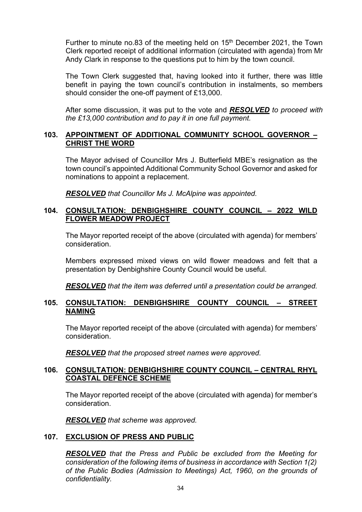Further to minute no.83 of the meeting held on 15<sup>th</sup> December 2021, the Town Clerk reported receipt of additional information (circulated with agenda) from Mr Andy Clark in response to the questions put to him by the town council.

The Town Clerk suggested that, having looked into it further, there was little benefit in paying the town council's contribution in instalments, so members should consider the one-off payment of £13,000.

After some discussion, it was put to the vote and *RESOLVED to proceed with the £13,000 contribution and to pay it in one full payment.*

# **103. APPOINTMENT OF ADDITIONAL COMMUNITY SCHOOL GOVERNOR – CHRIST THE WORD**

The Mayor advised of Councillor Mrs J. Butterfield MBE's resignation as the town council's appointed Additional Community School Governor and asked for nominations to appoint a replacement.

*RESOLVED that Councillor Ms J. McAlpine was appointed.*

## **104. CONSULTATION: DENBIGHSHIRE COUNTY COUNCIL – 2022 WILD FLOWER MEADOW PROJECT**

The Mayor reported receipt of the above (circulated with agenda) for members' consideration.

Members expressed mixed views on wild flower meadows and felt that a presentation by Denbighshire County Council would be useful.

*RESOLVED that the item was deferred until a presentation could be arranged.*

#### **105. CONSULTATION: DENBIGHSHIRE COUNTY COUNCIL – STREET NAMING**

The Mayor reported receipt of the above (circulated with agenda) for members' consideration.

*RESOLVED that the proposed street names were approved.*

## **106. CONSULTATION: DENBIGHSHIRE COUNTY COUNCIL – CENTRAL RHYL COASTAL DEFENCE SCHEME**

The Mayor reported receipt of the above (circulated with agenda) for member's consideration.

*RESOLVED that scheme was approved.*

## **107. EXCLUSION OF PRESS AND PUBLIC**

*RESOLVED that the Press and Public be excluded from the Meeting for consideration of the following items of business in accordance with Section 1(2) of the Public Bodies (Admission to Meetings) Act, 1960, on the grounds of confidentiality.*